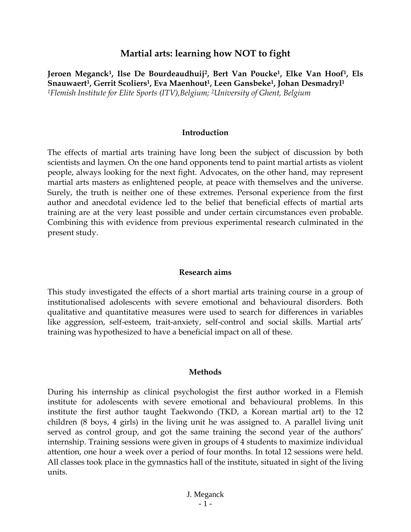## **Martial arts: learning how NOT to fight**

**Jeroen Meganck1, Ilse De Bourdeaudhuij2, Bert Van Poucke1, Elke Van Hoof1, Els Snauwaert1, Gerrit Scoliers1, Eva Maenhout1, Leen Gansbeke1, Johan Desmadryl1** *1Flemish Institute for Elite Sports (ITV),Belgium; 2University of Ghent, Belgium* 

### **Introduction**

The effects of martial arts training have long been the subject of discussion by both scientists and laymen. On the one hand opponents tend to paint martial artists as violent people, always looking for the next fight. Advocates, on the other hand, may represent martial arts masters as enlightened people, at peace with themselves and the universe. Surely, the truth is neither one of these extremes. Personal experience from the first author and anecdotal evidence led to the belief that beneficial effects of martial arts training are at the very least possible and under certain circumstances even probable. Combining this with evidence from previous experimental research culminated in the present study.

#### **Research aims**

This study investigated the effects of a short martial arts training course in a group of institutionalised adolescents with severe emotional and behavioural disorders. Both qualitative and quantitative measures were used to search for differences in variables like aggression, self-esteem, trait-anxiety, self-control and social skills. Martial arts' training was hypothesized to have a beneficial impact on all of these.

#### **Methods**

During his internship as clinical psychologist the first author worked in a Flemish institute for adolescents with severe emotional and behavioural problems. In this institute the first author taught Taekwondo (TKD, a Korean martial art) to the 12 children (8 boys, 4 girls) in the living unit he was assigned to. A parallel living unit served as control group, and got the same training the second year of the authors' internship. Training sessions were given in groups of 4 students to maximize individual attention, one hour a week over a period of four months. In total 12 sessions were held. All classes took place in the gymnastics hall of the institute, situated in sight of the living units.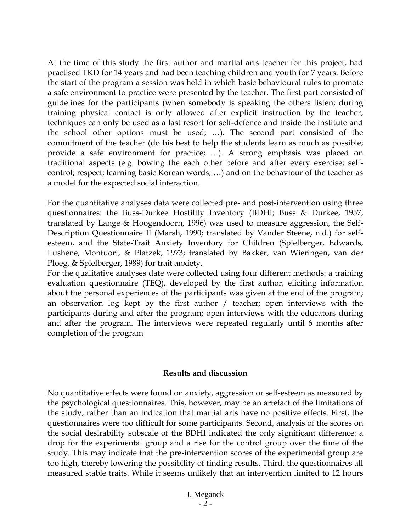At the time of this study the first author and martial arts teacher for this project, had practised TKD for 14 years and had been teaching children and youth for 7 years. Before the start of the program a session was held in which basic behavioural rules to promote a safe environment to practice were presented by the teacher. The first part consisted of guidelines for the participants (when somebody is speaking the others listen; during training physical contact is only allowed after explicit instruction by the teacher; techniques can only be used as a last resort for self-defence and inside the institute and the school other options must be used; …). The second part consisted of the commitment of the teacher (do his best to help the students learn as much as possible; provide a safe environment for practice; …). A strong emphasis was placed on traditional aspects (e.g. bowing the each other before and after every exercise; selfcontrol; respect; learning basic Korean words; …) and on the behaviour of the teacher as a model for the expected social interaction.

For the quantitative analyses data were collected pre- and post-intervention using three questionnaires: the Buss-Durkee Hostility Inventory (BDHI; Buss & Durkee, 1957; translated by Lange & Hoogendoorn, 1996) was used to measure aggression, the Self-Description Questionnaire II (Marsh, 1990; translated by Vander Steene, n.d.) for selfesteem, and the State-Trait Anxiety Inventory for Children (Spielberger, Edwards, Lushene, Montuori, & Platzek, 1973; translated by Bakker, van Wieringen, van der Ploeg, & Spielberger, 1989) for trait anxiety.

For the qualitative analyses date were collected using four different methods: a training evaluation questionnaire (TEQ), developed by the first author, eliciting information about the personal experiences of the participants was given at the end of the program; an observation log kept by the first author / teacher; open interviews with the participants during and after the program; open interviews with the educators during and after the program. The interviews were repeated regularly until 6 months after completion of the program

### **Results and discussion**

No quantitative effects were found on anxiety, aggression or self-esteem as measured by the psychological questionnaires. This, however, may be an artefact of the limitations of the study, rather than an indication that martial arts have no positive effects. First, the questionnaires were too difficult for some participants. Second, analysis of the scores on the social desirability subscale of the BDHI indicated the only significant difference: a drop for the experimental group and a rise for the control group over the time of the study. This may indicate that the pre-intervention scores of the experimental group are too high, thereby lowering the possibility of finding results. Third, the questionnaires all measured stable traits. While it seems unlikely that an intervention limited to 12 hours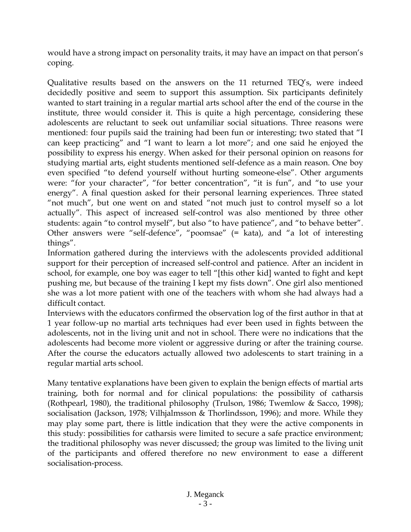would have a strong impact on personality traits, it may have an impact on that person's coping.

Qualitative results based on the answers on the 11 returned TEQ's, were indeed decidedly positive and seem to support this assumption. Six participants definitely wanted to start training in a regular martial arts school after the end of the course in the institute, three would consider it. This is quite a high percentage, considering these adolescents are reluctant to seek out unfamiliar social situations. Three reasons were mentioned: four pupils said the training had been fun or interesting; two stated that "I can keep practicing" and "I want to learn a lot more"; and one said he enjoyed the possibility to express his energy. When asked for their personal opinion on reasons for studying martial arts, eight students mentioned self-defence as a main reason. One boy even specified "to defend yourself without hurting someone-else". Other arguments were: "for your character", "for better concentration", "it is fun", and "to use your energy". A final question asked for their personal learning experiences. Three stated "not much", but one went on and stated "not much just to control myself so a lot actually". This aspect of increased self-control was also mentioned by three other students: again "to control myself", but also "to have patience", and "to behave better". Other answers were "self-defence", "poomsae" (= kata), and "a lot of interesting things".

Information gathered during the interviews with the adolescents provided additional support for their perception of increased self-control and patience. After an incident in school, for example, one boy was eager to tell "[this other kid] wanted to fight and kept pushing me, but because of the training I kept my fists down". One girl also mentioned she was a lot more patient with one of the teachers with whom she had always had a difficult contact.

Interviews with the educators confirmed the observation log of the first author in that at 1 year follow-up no martial arts techniques had ever been used in fights between the adolescents, not in the living unit and not in school. There were no indications that the adolescents had become more violent or aggressive during or after the training course. After the course the educators actually allowed two adolescents to start training in a regular martial arts school.

Many tentative explanations have been given to explain the benign effects of martial arts training, both for normal and for clinical populations: the possibility of catharsis (Rothpearl, 1980), the traditional philosophy (Trulson, 1986; Twemlow & Sacco, 1998); socialisation (Jackson, 1978; Vilhjalmsson & Thorlindsson, 1996); and more. While they may play some part, there is little indication that they were the active components in this study: possibilities for catharsis were limited to secure a safe practice environment; the traditional philosophy was never discussed; the group was limited to the living unit of the participants and offered therefore no new environment to ease a different socialisation-process.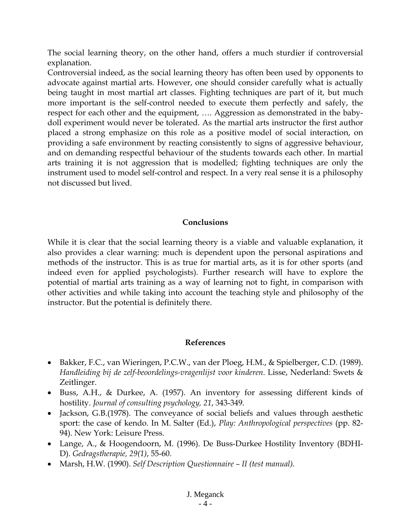The social learning theory, on the other hand, offers a much sturdier if controversial explanation.

Controversial indeed, as the social learning theory has often been used by opponents to advocate against martial arts. However, one should consider carefully what is actually being taught in most martial art classes. Fighting techniques are part of it, but much more important is the self-control needed to execute them perfectly and safely, the respect for each other and the equipment, …. Aggression as demonstrated in the babydoll experiment would never be tolerated. As the martial arts instructor the first author placed a strong emphasize on this role as a positive model of social interaction, on providing a safe environment by reacting consistently to signs of aggressive behaviour, and on demanding respectful behaviour of the students towards each other. In martial arts training it is not aggression that is modelled; fighting techniques are only the instrument used to model self-control and respect. In a very real sense it is a philosophy not discussed but lived.

# **Conclusions**

While it is clear that the social learning theory is a viable and valuable explanation, it also provides a clear warning: much is dependent upon the personal aspirations and methods of the instructor. This is as true for martial arts, as it is for other sports (and indeed even for applied psychologists). Further research will have to explore the potential of martial arts training as a way of learning not to fight, in comparison with other activities and while taking into account the teaching style and philosophy of the instructor. But the potential is definitely there.

## **References**

- Bakker, F.C., van Wieringen, P.C.W., van der Ploeg, H.M., & Spielberger, C.D. (1989). *Handleiding bij de zelf-beoordelings-vragenlijst voor kinderen*. Lisse, Nederland: Swets & Zeitlinger.
- Buss, A.H., & Durkee, A. (1957). An inventory for assessing different kinds of hostility. *Journal of consulting psychology, 21*, 343-349.
- Jackson, G.B. (1978). The conveyance of social beliefs and values through aesthetic sport: the case of kendo. In M. Salter (Ed.), *Play: Anthropological perspectives* (pp. 82- 94). New York: Leisure Press.
- Lange, A., & Hoogendoorn, M. (1996). De Buss-Durkee Hostility Inventory (BDHI-D). *Gedragstherapie, 29(1)*, 55-60.
- Marsh, H.W. (1990). *Self Description Questionnaire II (test manual)*.